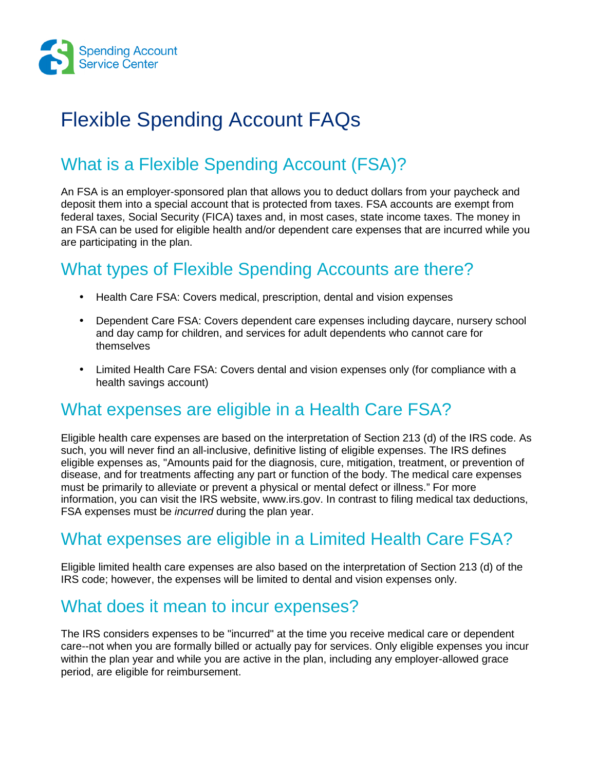

# Flexible Spending Account FAQs

# What is a Flexible Spending Account (FSA)?

An FSA is an employer-sponsored plan that allows you to deduct dollars from your paycheck and deposit them into a special account that is protected from taxes. FSA accounts are exempt from federal taxes, Social Security (FICA) taxes and, in most cases, state income taxes. The money in an FSA can be used for eligible health and/or dependent care expenses that are incurred while you are participating in the plan.

## What types of Flexible Spending Accounts are there?

- Health Care FSA: Covers medical, prescription, dental and vision expenses
- Dependent Care FSA: Covers dependent care expenses including daycare, nursery school and day camp for children, and services for adult dependents who cannot care for themselves
- Limited Health Care FSA: Covers dental and vision expenses only (for compliance with a health savings account)

## What expenses are eligible in a Health Care FSA?

Eligible health care expenses are based on the interpretation of Section 213 (d) of the IRS code. As such, you will never find an all-inclusive, definitive listing of eligible expenses. The IRS defines eligible expenses as, "Amounts paid for the diagnosis, cure, mitigation, treatment, or prevention of disease, and for treatments affecting any part or function of the body. The medical care expenses must be primarily to alleviate or prevent a physical or mental defect or illness." For more information, you can visit the IRS website, www.irs.gov. In contrast to filing medical tax deductions, FSA expenses must be incurred during the plan year.

## What expenses are eligible in a Limited Health Care FSA?

Eligible limited health care expenses are also based on the interpretation of Section 213 (d) of the IRS code; however, the expenses will be limited to dental and vision expenses only.

#### What does it mean to incur expenses?

The IRS considers expenses to be "incurred" at the time you receive medical care or dependent care--not when you are formally billed or actually pay for services. Only eligible expenses you incur within the plan year and while you are active in the plan, including any employer-allowed grace period, are eligible for reimbursement.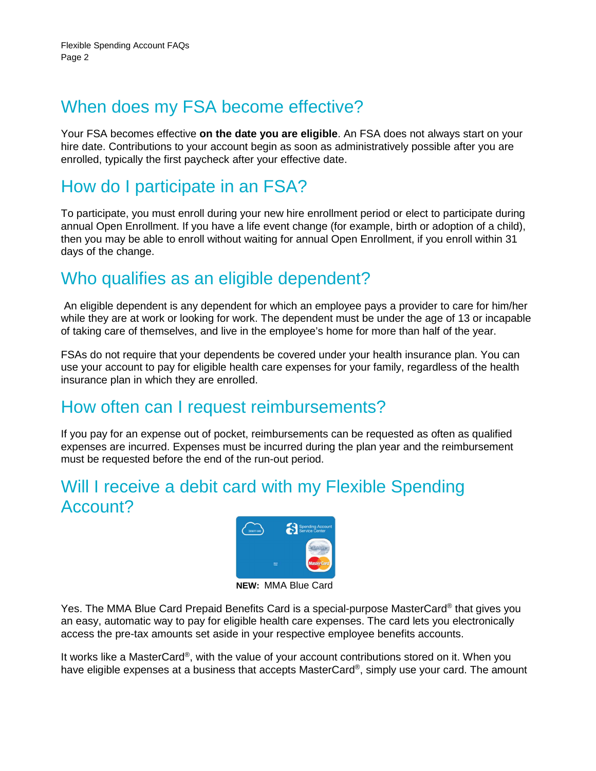## When does my FSA become effective?

Your FSA becomes effective **on the date you are eligible**. An FSA does not always start on your hire date. Contributions to your account begin as soon as administratively possible after you are enrolled, typically the first paycheck after your effective date.

## How do I participate in an FSA?

To participate, you must enroll during your new hire enrollment period or elect to participate during annual Open Enrollment. If you have a life event change (for example, birth or adoption of a child), then you may be able to enroll without waiting for annual Open Enrollment, if you enroll within 31 days of the change.

#### Who qualifies as an eligible dependent?

 An eligible dependent is any dependent for which an employee pays a provider to care for him/her while they are at work or looking for work. The dependent must be under the age of 13 or incapable of taking care of themselves, and live in the employee's home for more than half of the year.

FSAs do not require that your dependents be covered under your health insurance plan. You can use your account to pay for eligible health care expenses for your family, regardless of the health insurance plan in which they are enrolled.

## How often can I request reimbursements?

If you pay for an expense out of pocket, reimbursements can be requested as often as qualified expenses are incurred. Expenses must be incurred during the plan year and the reimbursement must be requested before the end of the run-out period.

## Will I receive a debit card with my Flexible Spending Account?



**NEW:** MMA Blue Card

Yes. The MMA Blue Card Prepaid Benefits Card is a special-purpose MasterCard® that gives you an easy, automatic way to pay for eligible health care expenses. The card lets you electronically access the pre-tax amounts set aside in your respective employee benefits accounts.

It works like a MasterCard®, with the value of your account contributions stored on it. When you have eligible expenses at a business that accepts MasterCard®, simply use your card. The amount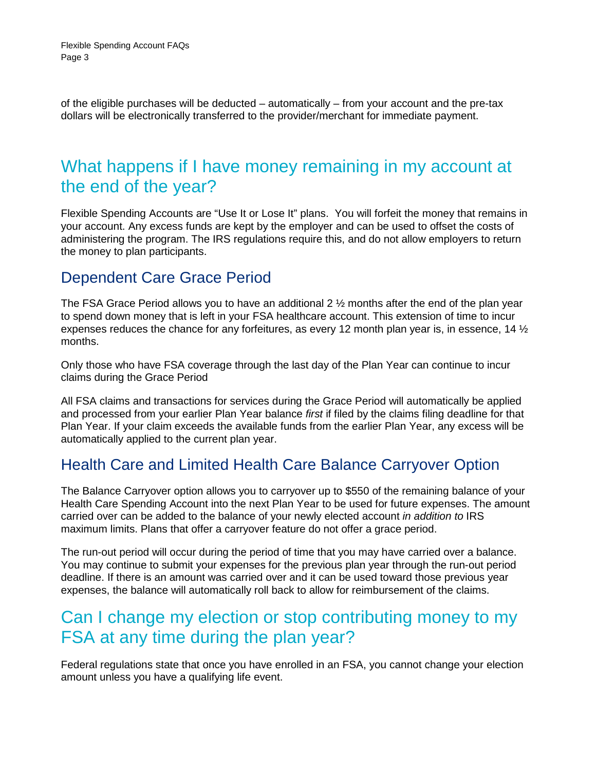of the eligible purchases will be deducted – automatically – from your account and the pre-tax dollars will be electronically transferred to the provider/merchant for immediate payment.

#### What happens if I have money remaining in my account at the end of the year?

Flexible Spending Accounts are "Use It or Lose It" plans. You will forfeit the money that remains in your account. Any excess funds are kept by the employer and can be used to offset the costs of administering the program. The IRS regulations require this, and do not allow employers to return the money to plan participants.

#### Dependent Care Grace Period

The FSA Grace Period allows you to have an additional 2  $\frac{1}{2}$  months after the end of the plan year to spend down money that is left in your FSA healthcare account. This extension of time to incur expenses reduces the chance for any forfeitures, as every 12 month plan year is, in essence, 14  $\frac{1}{2}$ months.

Only those who have FSA coverage through the last day of the Plan Year can continue to incur claims during the Grace Period

All FSA claims and transactions for services during the Grace Period will automatically be applied and processed from your earlier Plan Year balance first if filed by the claims filing deadline for that Plan Year. If your claim exceeds the available funds from the earlier Plan Year, any excess will be automatically applied to the current plan year.

#### Health Care and Limited Health Care Balance Carryover Option

The Balance Carryover option allows you to carryover up to \$550 of the remaining balance of your Health Care Spending Account into the next Plan Year to be used for future expenses. The amount carried over can be added to the balance of your newly elected account in addition to IRS maximum limits. Plans that offer a carryover feature do not offer a grace period.

The run-out period will occur during the period of time that you may have carried over a balance. You may continue to submit your expenses for the previous plan year through the run-out period deadline. If there is an amount was carried over and it can be used toward those previous year expenses, the balance will automatically roll back to allow for reimbursement of the claims.

#### Can I change my election or stop contributing money to my FSA at any time during the plan year?

Federal regulations state that once you have enrolled in an FSA, you cannot change your election amount unless you have a qualifying life event.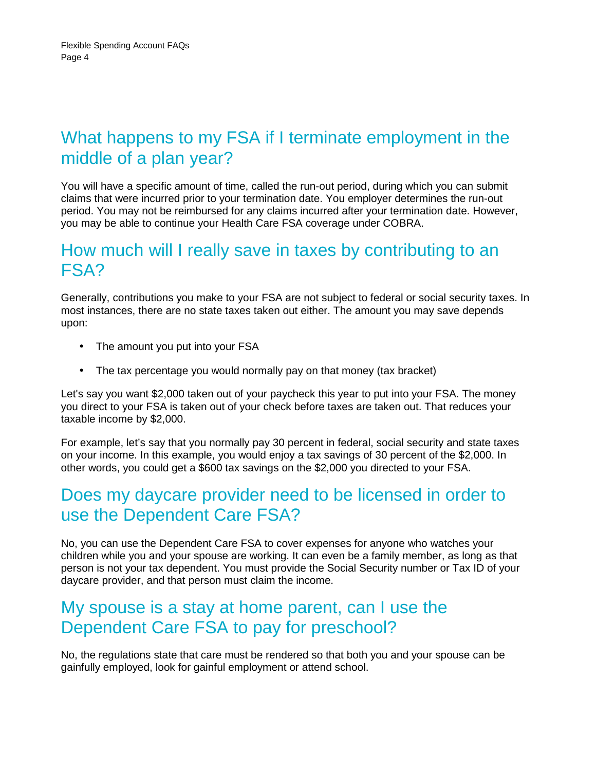## What happens to my FSA if I terminate employment in the middle of a plan year?

You will have a specific amount of time, called the run-out period, during which you can submit claims that were incurred prior to your termination date. You employer determines the run-out period. You may not be reimbursed for any claims incurred after your termination date. However, you may be able to continue your Health Care FSA coverage under COBRA.

#### How much will I really save in taxes by contributing to an FSA?

Generally, contributions you make to your FSA are not subject to federal or social security taxes. In most instances, there are no state taxes taken out either. The amount you may save depends upon:

- The amount you put into your FSA
- The tax percentage you would normally pay on that money (tax bracket)

Let's say you want \$2,000 taken out of your paycheck this year to put into your FSA. The money you direct to your FSA is taken out of your check before taxes are taken out. That reduces your taxable income by \$2,000.

For example, let's say that you normally pay 30 percent in federal, social security and state taxes on your income. In this example, you would enjoy a tax savings of 30 percent of the \$2,000. In other words, you could get a \$600 tax savings on the \$2,000 you directed to your FSA.

#### Does my daycare provider need to be licensed in order to use the Dependent Care FSA?

No, you can use the Dependent Care FSA to cover expenses for anyone who watches your children while you and your spouse are working. It can even be a family member, as long as that person is not your tax dependent. You must provide the Social Security number or Tax ID of your daycare provider, and that person must claim the income.

#### My spouse is a stay at home parent, can I use the Dependent Care FSA to pay for preschool?

No, the regulations state that care must be rendered so that both you and your spouse can be gainfully employed, look for gainful employment or attend school.